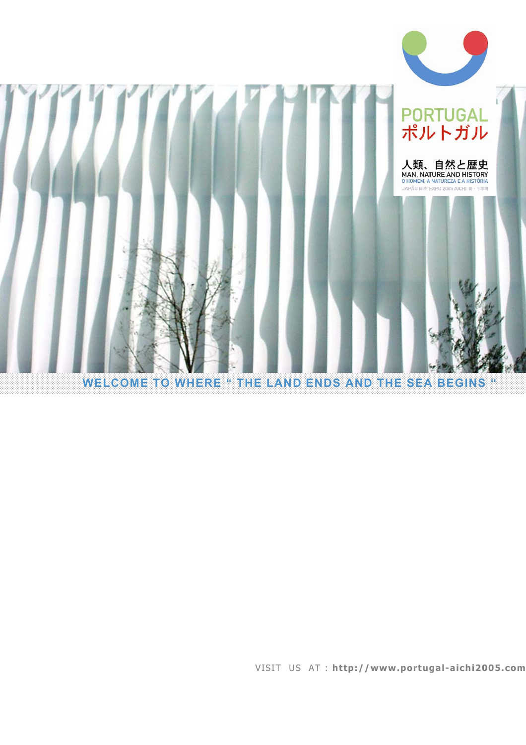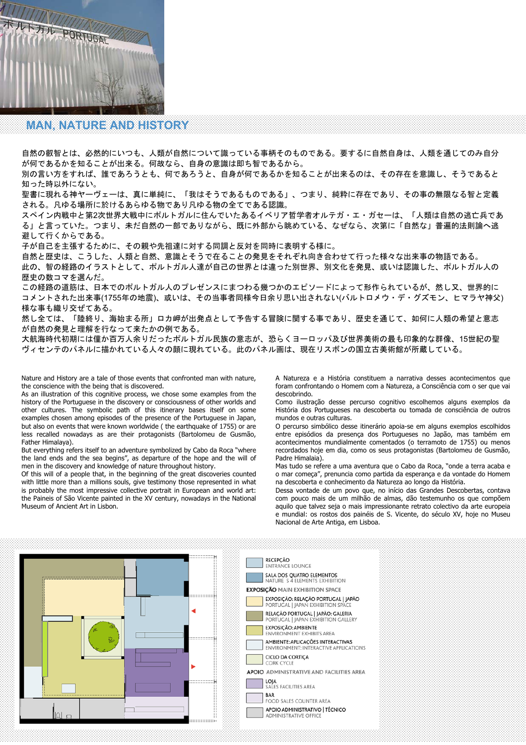

**TEAM AND PORTUGAL** 

### **MAN, NATURE AND HISTORY**

自然の叡智とは、必然的にいつも、人類が自然について識っている事柄そのものである。要するに自然自身は、人類を通じてのみ自分 が何であるかを知ることが出来る。何故なら、自身の意識は即ち智であるから。

別の言い方をすれば、誰であろうとも、何であろうと、自身が何であるかを知ることが出来るのは、その存在を意識し、そうであると 知った時以外にない。

聖書に現れる神ヤーヴェーは、真に単純に、「我はそうであるものである」、つまり、純粋に存在であり、その事の無限なる智と定義 される。凡ゆる場所に於けるあらゆる物であり凡ゆる物の全てである認識。

スペイン内戦中と第2次世界大戦中にポルトガルに住んでいたあるイベリア哲学者オルテガ・エ・ガセーは、「人類は自然の逃亡兵であ る」と言っていた。つまり、未だ自然の一部でありながら、既に外部から眺めている、なぜなら、次第に「自然な」普遍的法則論へ逃 避して行くからである。

子が自己を主張するために、その親や先祖達に対する同調と反対を同時に表明する様に。

自然と歴史は、こうした、人類と自然、意識とそうで在ることの発見をそれぞれ向き合わせて行った様々な出来事の物語である。

此の、智の経路のイラストとして、ポルトガル人達が自己の世界とは違った別世界、別文化を発見、或いは認識した、ポルトガル人の 歴史の数コマを選んだ。

この経路の道筋は、日本でのポルトガル人のプレゼンスにまつわる幾つかのエピソードによって形作られているが、然し又、世界的に コメントされた出来事(1755年の地震)、或いは、その当事者同様今日余り思い出されない(バルトロメウ・デ・グズモン、ヒマラヤ神父) 様な事も織り交ぜてある。

然し全ては、「陸終り、海始まる所」ロカ岬が出発点として予告する冒険に関する事であり、歴史を通じて、如何に人類の希望と意志 が自然の発見と理解を行なって来たかの例である。

大航海時代初期には僅か百万人余りだったポルトガル民族の意志が、恐らくヨーロッパ及び世界美術の最も印象的な群像、15世紀の聖 ヴィセンテのパネルに描かれている人々の顔に現れている。此のパネル画は、現在リスボンの国立古美術館が所蔵している。

Nature and History are a tale of those events that confronted man with nature, the conscience with the being that is discovered.

As an illustration of this cognitive process, we chose some examples from the history of the Portuguese in the discovery or consciousness of other worlds and other cultures. The symbolic path of this itinerary bases itself on some examples chosen among episodes of the presence of the Portuguese in Japan, but also on events that were known worldwide ( the earthquake of 1755) or are less recalled nowadays as are their protagonists (Bartolomeu de Gusmão, Father Himalaya).

But everything refers itself to an adventure symbolized by Cabo da Roca "where the land ends and the sea begins", as departure of the hope and the will of men in the discovery and knowledge of nature throughout history.

Of this will of a people that, in the beginning of the great discoveries counted with little more than a millions souls, give testimony those represented in what is probably the most impressive collective portrait in European and world art: the Paineis of São Vicente painted in the XV century, nowadays in the National Museum of Ancient Art in Lisbon.

A Natureza e a História constituem a narrativa desses acontecimentos que foram confrontando o Homem com a Natureza, a Consciência com o ser que vai descobrindo.

Como ilustração desse percurso cognitivo escolhemos alguns exemplos da História dos Portugueses na descoberta ou tomada de consciência de outros mundos e outras culturas.

O percurso simbólico desse itinerário apoia-se em alguns exemplos escolhidos entre episódios da presença dos Portugueses no Japão, mas também em acontecimentos mundialmente comentados (o terramoto de 1755) ou menos recordados hoje em dia, como os seus protagonistas (Bartolomeu de Gusmão, Padre Himalaia).

Mas tudo se refere a uma aventura que o Cabo da Roca, "onde a terra acaba e o mar começa", prenuncia como partida da esperança e da vontade do Homem na descoberta e conhecimento da Natureza ao longo da História.

Dessa vontade de um povo que, no início das Grandes Descobertas, contava com pouco mais de um milhão de almas, dão testemunho os que compõem aquilo que talvez seja o mais impressionante retrato colectivo da arte europeia e mundial: os rostos dos painéis de S. Vicente, do século XV, hoje no Museu Nacional de Arte Antiga, em Lisboa.

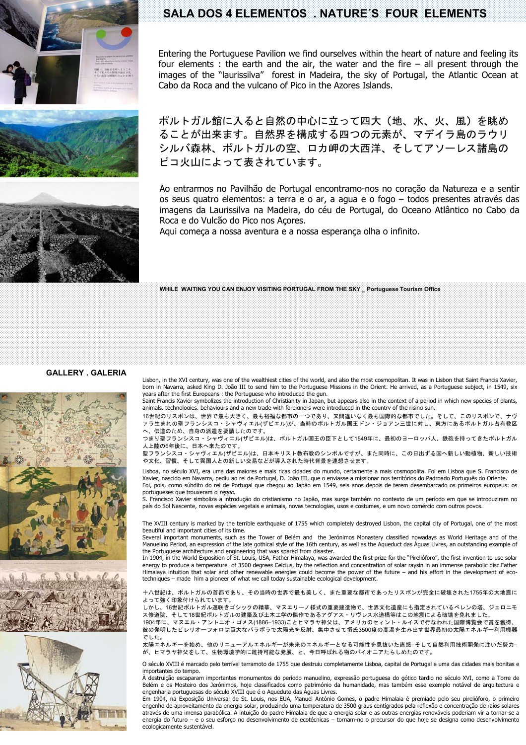





### **SALA DOS 4 ELEMENTOS . NATURE´S FOUR ELEMENTS**

Entering the Portuguese Pavilion we find ourselves within the heart of nature and feeling its four elements : the earth and the air, the water and the fire – all present through the images of the "laurissilva" forest in Madeira, the sky of Portugal, the Atlantic Ocean at Cabo da Roca and the vulcano of Pico in the Azores Islands.

ポルトガル館に入ると自然の中心に立って四大(地、水、火、風)を眺め ることが出来ます。自然界を構成する四つの元素が、マデイラ島のラウリ シルバ森林、ポルトガルの空、ロカ岬の大西洋、そしてアソーレス諸島の ピコ火山によって表されています。

Ao entrarmos no Pavilhão de Portugal encontramo-nos no coração da Natureza e a sentir os seus quatro elementos: a terra e o ar, a agua e o fogo – todos presentes através das imagens da Laurissilva na Madeira, do céu de Portugal, do Oceano Atlântico no Cabo da Roca e do Vulcão do Pico nos Acores.

Aqui começa a nossa aventura e a nossa esperança olha o infinito.

**WHILE WAITING YOU CAN ENJOY VISITING PORTUGAL FROM THE SKY \_ Portuguese Tourism Office** 

#### **GALLERY . GALERIA**





Lisbon, in the XVI century, was one of the wealthiest cities of the world, and also the most cosmopolitan. It was in Lisbon that Saint Francis Xavier, born in Navarra, asked King D. João III to send him to the Portuguese Missions in the Orient. He arrived, as a Portuguese subject, in 1549, six years after the first Europeans : the Portuguese who introduced the gun.

Saint Francis Xavier symbolizes the introduction of Christianity in Japan, but appears also in the context of a period in which new species of plants, animals, technologies, behaviours and a new trade with foreigners were introduced in the country of the rising sun.

16世紀のリスボンは、世界で最も大きく、最も裕福な都市の一つであり、又間違いなく最も国際的な都市でした。そして、このリスボンで、ナヴ ァラ生まれの聖フランシスコ・シャヴィエル(ザビエル)が、当時のポルトガル国王ドン・ジョアン三世に対し、東方にあるポルトガル占有教区 へ、伝道のため、自身の派遺を要請したのです。

つまり聖フランシスコ・シャヴィエル(ザビエル)は、ポルトガル国王の臣下として1549年に、最初のヨーロッパ人、鉄砲を持ってきたポルトガル 人上陸の6年後に、日本へ来たのです。

聖フランシスコ・シャヴィエル(ザビエル)は、日本キリスト教布教のシンボルですが、また同時に、この日出ずる国へ新しい動植物、新しい技術 や文化、習慣、そして異国人との新しい交易などが導入された時代背景を連想させます。

Lisboa, no século XVI, era uma das maiores e mais ricas cidades do mundo, certamente a mais cosmopolita. Foi em Lisboa que S. Francisco de Xavier, nascido em Navarra, pediu ao rei de Portugal, D. João III, que o enviasse a missionar nos territórios do Padroado Português do Oriente. Foi, pois, como súbdito do rei de Portugal que chegou ao Japão em 1549, seis anos depois de terem desembarcado os primeiros europeus: os portugueses que trouxeram o teppo.

S. Francisco Xavier simboliza a introdução do cristianismo no Japão, mas surge também no contexto de um período em que se introduziram no país do Sol Nascente, novas espécies vegetais e animais, novas tecnologias, usos e costumes, e um novo comércio com outros povos.

The XVIII century is marked by the terrible earthquake of 1755 which completely destroyed Lisbon, the capital city of Portugal, one of the most beautiful and important cities of its time.

Several important monuments, such as the Tower of Belém and the Jerónimos Monastery classified nowadays as World Heritage and of the Manuelino Period, an expression of the late gothical style of the 16th century, as well as the Aqueduct das Águas Livres, an outstanding example of the Portuguese architecture and engineering that was spared from disaster.

In 1904, in the World Exposition of St. Louis, USA, Father Himalaya, was awarded the first prize for the "Pirelióforo", the first invention to use solar energy to produce a temperature of 3500 degrees Celcius, by the reflection and concentration of solar raysin in an immense parabolic disc.Father Himalaya intuition that solar and other renewable energies could become the power of the future – and his effort in the development of ecotechniques – made him a pioneer of what we call today sustainable ecological development.

十八世紀は、ポルトガルの首都であり、その当時の世界で最も美しく、また重要な都市であったリスボンが完全に破壊された1755年の大地震に よって強く印象付けられています。

しかし、16世紀ポルトガル遅咲きゴシックの精華、マヌエリーノ様式の重要建造物で、世界文化遺産にも指定されているベレンの塔、ジェロニモ ス修道院、そして18世紀ポルトガルの建築及び土木工学の傑作であるアグアス・リヴレス水道橋等はこの地震による破壊を免れました。

1904年に、マヌエル・アントニオ・ゴメス(1886−1933)ことヒマラヤ神父は、アメリカのセィント・ルイスで行なわれた国際博覧会で賞を獲得、 彼の発明したピレリオーフォロは巨大なパラボラで太陽光を反射、集中させて摂氏3500度の高温を生み出す世界最初の太陽エネルギー利用機器 でした。

太陽エネルギーを始め、他のリニューアルエネルギーが未来のエネルギーとなる可能性を見抜いた直感−そして自然利用技術開発に注いだ努力− が、ヒマラヤ神父をして、生物環境学的に維持可能な発展、と、今日呼ばれる物のパイオニアたらしめたのです。

O século XVIII é marcado pelo terrível terramoto de 1755 que destruiu completamente Lisboa, capital de Portugal e uma das cidades mais bonitas e importantes do tempo.

À destruição escaparam importantes monumentos do período manuelino, expressão portuguesa do gótico tardio no século XVI, como a Torre de Belém e os Mosteiro dos Jerónimos, hoje classificados como património da humanidade, mas também esse exemplo notável de arquitectura e engenharia portuguesas do século XVIII que é o Aqueduto das Águas Livres.

Em 1904, na Exposição Universal de St. Louis, nos EUA, Manuel António Gomes, o padre Himalaia é premiado pelo seu pirelióforo, o primeiro engenho de aproveitamento da energia solar, produzindo uma temperatura de 3500 graus centígrados pela reflexão e concentração de raios solares através de uma imensa parabólica. A intuição do padre Himalaia de que a energia solar e as outras energias renováveis poderiam vir a tornar-se a energia do futuro – e o seu esforço no desenvolvimento de ecotécnicas – tornam-no o precursor do que hoje se designa como desenvolvimento ecologicamente sustentável.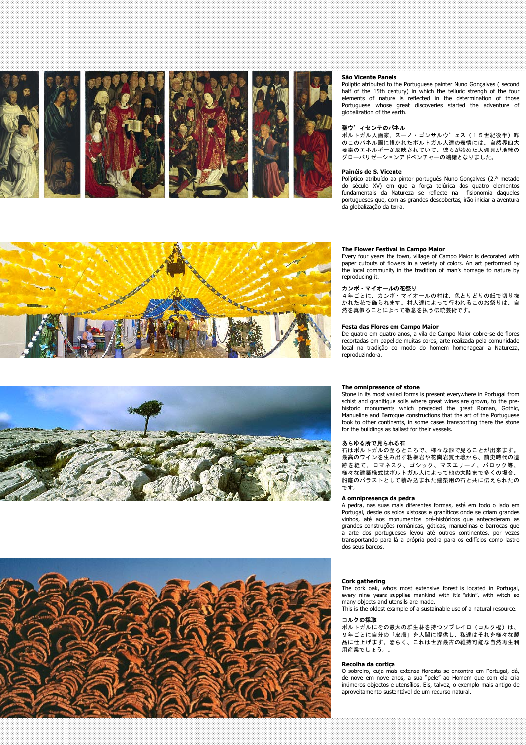

Políptico atribuído ao pintor português Nuno Gonçalves (2.ª metade do século XV) em que a força telúrica dos quatro elementos fundamentais da Natureza se reflecte na fisionomia daqueles portugueses que, com as grandes descobertas, irão iniciar a aventura da globalização da terra.







Every four years the town, village of Campo Maior is decorated with paper cutouts of flowers in a veriety of colors. An art performed by the local community in the tradition of man's homage to nature by reproducing it.

#### カンポ・マイオールの花祭り

4年ごとに、カンポ・マイオールの村は、色とりどりの紙で切り抜 かれた花で飾られます。村人達によって行われるこのお祭りは、自 然を真似ることによって敬意を払う伝統芸術です。

#### **Festa das Flores em Campo Maior**

De quatro em quatro anos, a vila de Campo Maior cobre-se de flores recortadas em papel de muitas cores, arte realizada pela comunidade local na tradição do modo do homem homenagear a Natureza, reproduzindo-a.

#### **The omnipresence of stone**

Stone in its most varied forms is present everywhere in Portugal from schist and granitique soils where great wines are grown, to the prehistoric monuments which preceded the great Roman, Gothic, Manueline and Barroque constructions that the art of the Portuguese took to other continents, in some cases transporting there the stone for the buildings as ballast for their vessels.

#### あらゆる所で見られる石

石はポルトガルの至るところで、様々な形で見ることが出来ます。 最高のワインを生み出す粘板岩や花崗岩質土壌から、前史時代の遺 跡を経て、ロマネスク、ゴシック、マヌエリーノ、バロック等、 様々な建築様式はポルトガル人によって他の大陸まで多くの場合、 船底のバラストとして積み込まれた建築用の石と共に伝えられたの です。

#### **A omnipresença da pedra**

A pedra, nas suas mais diferentes formas, está em todo o lado em Portugal, desde os solos xistosos e graníticos onde se criam grandes vinhos, até aos monumentos pré-históricos que antecederam as grandes construções românicas, góticas, manuelinas e barrocas que a arte dos portugueses levou até outros continentes, por vezes transportando para lá a própria pedra para os edifícios como lastro dos seus barcos.



#### **Cork gathering**

The cork oak, who's most extensive forest is located in Portugal, every nine years supplies mankind with it's "skin", with witch so many objects and utensils are made.

This is the oldest example of a sustainable use of a natural resource.

#### コルクの採取

ポルトガルにその最大の群生林を持つソブレイロ(コルク樫)は、 9年ごとに自分の「皮膚」を人間に提供し、私達はそれを様々な製 品に仕上げます。恐らく、これは世界最古の維持可能な自然再生利 用産業でしょう。。

#### **Recolha da cortiça**

O sobreiro, cuja mais extensa floresta se encontra em Portugal, dá, de nove em nove anos, a sua "pele" ao Homem que com ela cria inúmeros objectos e utensílios. Eis, talvez, o exemplo mais antigo de aproveitamento sustentável de um recurso natural.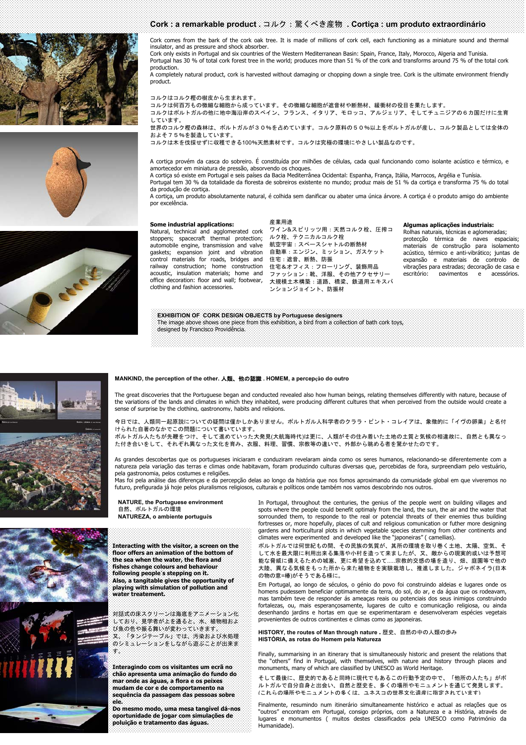





#### **Cork : a remarkable product .** コルク:驚くべき産物 **. Cortiça : um produto extraordinário**

Cork comes from the bark of the cork oak tree. It is made of millions of cork cell, each functioning as a miniature sound and thermal insulator, and as pressure and shock absorber.

Cork only exists in Portugal and six countries of the Western Mediterranean Basin: Spain, France, Italy, Morocco, Algeria and Tunisia. Portugal has 30 % of total cork forest tree in the world; produces more than 51 % of the cork and transforms around 75 % of the total cork production.

A completely natural product, cork is harvested without damaging or chopping down a single tree. Cork is the ultimate environment friendly product.

#### コルクはコルク樫の樹皮から生まれます。

コルクは何百万もの微細な細胞から成っています。その微細な細胞が遮音材や断熱材、緩衝材の役目を果たします。

コルクはポルトガルの他に地中海沿岸のスペイン、フランス、イタリア、モロッコ、アルジェリア、そしてチュニジアの6カ国だけに生育 しています。

世界のコルク樫の森林は、ポルトガルが30%を占めています。コルク原料の50%以上をポルトガルが産し、コルク製品としては全体の およそ75%を製造しています。

コルクは木を伐採せずに収穫できる100%天然素材です。コルクは究極の環境にやさしい製品なのです。

A cortiça provém da casca do sobreiro. É constituída por milhões de células, cada qual funcionando como isolante acústico e térmico, e amortecedor em miniatura de pressão, absorvendo os choques.

A cortiça só existe em Portugal e seis países da Bacia Mediterrânea Ocidental: Espanha, França, Itália, Marrocos, Argélia e Tunísia. Portugal tem 30 % da totalidade da floresta de sobreiros existente no mundo; produz mais de 51 % da cortiça e transforma 75 % do total da produção de cortiça.

A cortiça, um produto absolutamente natural, é colhida sem danificar ou abater uma única árvore. A cortiça é o produto amigo do ambiente por excelência.

#### **Some industrial applications:**

Natural, technical and agglomerated cork stoppers; spacecraft thermal protection; ルク栓、テクニカルコルク栓 automobile engine, transmission and valve 航空宇宙:スペースシャトルの断熱材 gaskets; expansion joint and vibration 自動車:エンジン、ミッション、ガスケット control materials for roads, bridges and railway construction; home construction 住宅:遮音、断熱、防振 clothing and fashion accessories.

acoustic, insulation materials; home and ファッション:靴、洋服、その他アクセサリー<br>office decoration: floor and wall; footwear, 大担模十木構築·道路、橋梁、鉄道用エキス 産業用途 ワイン&スピリッツ用:天然コルク栓、圧搾コ 住宅&オフィス:フローリング、装飾用品 大規模土木構築:道路、橋梁、鉄道用エキスパ ンションジョイント、防振材

#### **Algumas aplicações industriais:**

Rolhas naturais, técnicas e aglomeradas; protecção térmica de naves espaciais; materiais de construção para isolamento acústico, térmico e anti-vibrático; juntas de expansão e materiais de controlo de vibrações para estradas; decoração de casa e escritório: pavimentos e acessórios.

**EXHIBITION OF CORK DESIGN OBJECTS by Portuguese designers** The image above shows one piece from this exhibition, a bird from a collection of bath cork toys, designed by Francisco Providência.



#### **MANKIND, the perception of the other.** 人類、他の認識 **. HOMEM, a percepção do outro**

The great discoveries that the Portuguese began and conducted revealed also how human beings, relating themselves differently with nature, because of the variations of the lands and climates in which they inhabited, were producing different cultures that when perceived from the outside would create a sense of surprise by the clothing, gastronomy, habits and religions.

今日では、人類同一起原説についての疑問は僅かしかありません。ポルトガル人科学者のクララ・ピント・コレイアは、象徴的に「イヴの卵巣」と名付 けられた自著のなかでこの問題について書いています。 ポルトガル人たちが先鞭をつけ、そして進めていった大発見(大航海時代)は更に、人類がその住み着いた土地の土質と気候の相違故に、自然とも異なっ

た付き合いをして、それぞれ異なった文化を育み、衣服、料理、習慣、宗教等の違いで、外部から眺める者を驚かせたのです。 As grandes descobertas que os portugueses iniciaram e conduziram revelaram ainda como os seres humanos, relacionando-se diferentemente com a

natureza pela variação das terras e climas onde habitavam, foram produzindo culturas diversas que, percebidas de fora, surpreendiam pelo vestuário, pela gastronomia, pelos costumes e religiões.<br>Mas foi pela análise das diferenças e da percepção delas ao longo da história que nos fomos aproximando da comunidade global em que viveremos no

futuro, prefigurada já hoje pelos pluralismos religiosos, culturais e políticos onde também nos vamos descobrindo nos outros.

**NATURE, the Portuguese environment**  自然、ポルトガルの環境 **NATUREZA, o ambiente português** 

**Interacting with the visitor, a screen on the floor offers an animation of the bottom of the sea when the water, the flora and fishes change colours and behaviour following people´s stepping on it. Also, a tangitable gives the opportunity of playing with simulation of pollution and water treatement.** 

対話式の床スクリーンは海底をアニメーション化 しており、見学者が上を通ると、水、植物相およ ・・・・・・・・・・・・・・・・・・・・・・・・・・・・・・。<br>「ター「タンジテーブル」では、汚染およ 又、「タンジテーブル」では、汚染および水処理 のシミュレーションをしながら遊ぶことが出来ま す。

**Interagindo com os visitantes um ecrã no chão apresenta uma animação do fundo do mar onde as águas, a flora e os peixes mudam de cor e de comportamento na sequência da passagem das pessoas sobre ele.** 

**Do mesmo modo, uma mesa tangível dá-nos oportunidade de jogar com simulações de poluição e tratamento das águas.** 

In Portugal, throughout the centuries, the genius of the people went on building villages and spots where the people could benefit optimaly from the land, the sun, the air and the water that sorrounded them, to responde to the real or potencial threats of their enemies thus building fortresses or, more hopefully, places of cult and religious comunication or futher more designing gardens and horticultural plots in which vegetable species stemming from other continents and climates were experimented and developed like the "japoneiras" ( camellias).

ポルトガルでは何世紀もの間、その民族の気質が、其所の環境を取り巻く土地、太陽、空気、 して水を最大限に利用出来る集落や小村を造って来ましたが、又、敵からの現実的或いは予想可 能な脅威に備えるための城塞、更に希望を込めて.....宗教的交感の場を造り、畑、庭園等で他の 大陸、異なる気候をもった所から来た植物をを実験栽培し、推進しました。ジャポネイラ(日本 の物の意=椿)がそうである様に。

Em Portugal, ao longo de séculos, o génio do povo foi construindo aldeias e lugares onde os homens pudessem beneficiar optimamente da terra, do sol, do ar, e da água que os rodeavam, mas também teve de responder ás ameaças reais ou potenciais dos seus inimigos construindo fortalezas, ou, mais esperançosamente, lugares de culto e comunicação religiosa, ou ainda desenhando jardins e hortas em que se experimentaram e desenvolveram espécies vegetais provenientes de outros continentes e climas como as japoneiras.

**HISTORY, the routes of Man through nature .** 歴史、自然の中の人類の歩み **HISTÓRIA, as rotas do Homem pela Natureza** 

Finally, summarising in an itinerary that is simultaneously historic and present the relations that the "others" find in Portugal, with themselves, with nature and history through places and monuments, many of which are classified by UNESCO as World Heritage.

そして最後に、歴史的であると同時に現代でもあるこの行動予定の中で、「他所の人たち」がポ ルトガルで自分自身と出会い、自然と歴史を、多くの場所やモニュメントを通じて発見します。 (これらの場所やモニュメントの多くは、ユネスコの世界文化遺産に指定されています)

Finalmente, resumindo num itinerário simultaneamente histórico e actual as relações que os "outros" encontram em Portugal, consigo próprios, com a Natureza e a História, através de lugares e monumentos ( muitos destes classificados pela UNESCO como Património da Humanidade).



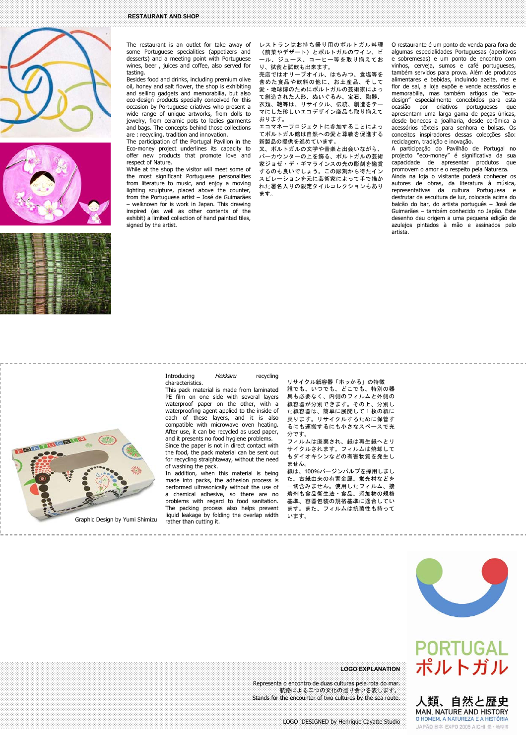





The restaurant is an outlet for take away of some Portuguese specialities (appetizers and desserts) and a meeting point with Portuguese wines, beer , juices and coffee, also served for tasting.

Besides food and drinks, including premium olive oil, honey and salt flower, the shop is exhibiting and selling gadgets and memorabilia, but also eco-design products specially conceived for this occasion by Portuguese criatives who present a wide range of unique artworks, from dolls to jewelry, from ceramic pots to ladies garments and bags. The concepts behind those collections are : recycling, tradition and innovation.

The participation of the Portugal Pavilion in the Eco-money project underlines its capacity to offer new products that promote love and respect of Nature.

While at the shop the visitor will meet some of the most significant Portuguese personalities from literature to music, and enjoy a moving lighting sculpture, placed above the counter, from the Portuguese artist – José de Guimarães welknown for is work in Japan. This drawing inspired (as well as other contents of the exhibit) a limited collection of hand painted tiles, signed by the artist.

characteristics.

レストランはお持ち帰り用のポルトガル料理 (前菜やデザート)とポルトガルのワイン、ビ .<br>*・*ル、ジュース、コーヒー等を取り揃えてお り、試食と試飲も出来ます。

売店ではオリーブオイル、はちみつ、食塩等を - - - -<br>含めた食品や飲料の他に、お土産品、そして 愛・地球博のためにポルトガルの芸術家によっ て創造された人形、ぬいぐるみ、宝石、陶器、 衣類、鞄等は、リサイクル、伝統、創造をテー マにした珍しいエコデザイン商品も取り揃えて おります。

エコマネープロジェクトに参加することによっ てポルトガル館は自然への愛と尊敬を促進する 新製品の提供を進めています。

又、ポルトガルの文学や音楽と出会いながら、 バーカウンターの上を飾る、ポルトガルの芸術 .<br>家ジョゼ・デ・ギマラインスの光の彫刻を鑑賞 。<br>するのも良いでしょう。この彫刻から得たイン スピレーションを元に芸術家によって手で描か れた署名入りの限定タイルコレクションもあり ます。

O restaurante é um ponto de venda para fora de algumas especialidades Portuguesas (aperitivos e sobremesas) e um ponto de encontro com vinhos, cerveja, sumos e café portugueses, também servidos para prova. Além de produtos alimentares e bebidas, incluindo azeite, mel e flor de sal, a loja expõe e vende acessórios e memorabilia, mas também artigos de "ecodesign" especialmente concebidos para esta ocasião por criativos portugueses que apresentam uma larga gama de peças únicas, desde bonecos a joalharia, desde cerâmica a acessórios têxteis para senhora e bolsas. Os conceitos inspiradores dessas colecções são: reciclagem, tradição e inovação.

A participação do Pavilhão de Portugal no projecto "eco-money" é significativa da sua capacidade de apresentar produtos que promovem o amor e o respeito pela Natureza. Ainda na loja o visitante poderá conhecer os autores de obras, da literatura à música, representativas da cultura Portuguesa e desfrutar da escultura de luz, colocada acima do balcão do bar, do artista português – José de Guimarães – também conhecido no Japão. Este desenho deu origem a uma pequena edição de azulejos pintados à mão e assinados pelo artista.

Introducing Hokkaru recycling

This pack material is made from laminated PE film on one side with several layers waterproof paper on the other, with a waterproofing agent applied to the inside of each of these layers, and it is also compatible with microwave oven heating. After use, it can be recycled as used paper, and it presents no food hygiene problems.

Since the paper is not in direct contact with the food, the pack material can be sent out for recycling straightaway, without the need of washing the pack.

In addition, when this material is being made into packs, the adhesion process is performed ultrasonically without the use of a chemical adhesive, so there are no problems with regard to food sanitation. The packing process also helps prevent liquid leakage by folding the overlap width rather than cutting it.

リサイクル紙容器「ホッかる」の特徴 誰でも、いつでも、どこでも、特別の器 具も必要なく、内側のフィルムと外側の 紙容器が分別できます。その上、分別し た紙容器は、簡単に展開して1枚の紙に 戻ります。リサイクルするために保管す るにも運搬するにも小さなスペースで充 分です。 フィルムは廃棄され、紙は再生紙へとリ サイクルされます。フィルムは焼却して もダイオキシンなどの有害物質を発生し ません。 紙は、100%バージンパルプを採用しまし た。古紙由来の有害金属、蛍光材などを

一切含みません。使用したフィルム、接 着剤も食品衛生法・食品、添加物の規格 基準、容器包装の規格基準に適合してい ます。また、フィルムは抗菌性も持って<br>います。



## **PORTUGAL** ポルトガル

人類、自然と歴史 MAN, NATURE AND HISTORY O HOMEM, A NATUREZA E A HISTÓRIA JAPÃO 日本 FXPO 2005 AICHI 愛·地球博



Graphic Design by Yumi Shimizu



Representa o encontro de duas culturas pela rota do mar. 航路による二つの文化の巡り会いを表します。 Stands for the encounter of two cultures by the sea route.

**LOGO EXPLANATION**